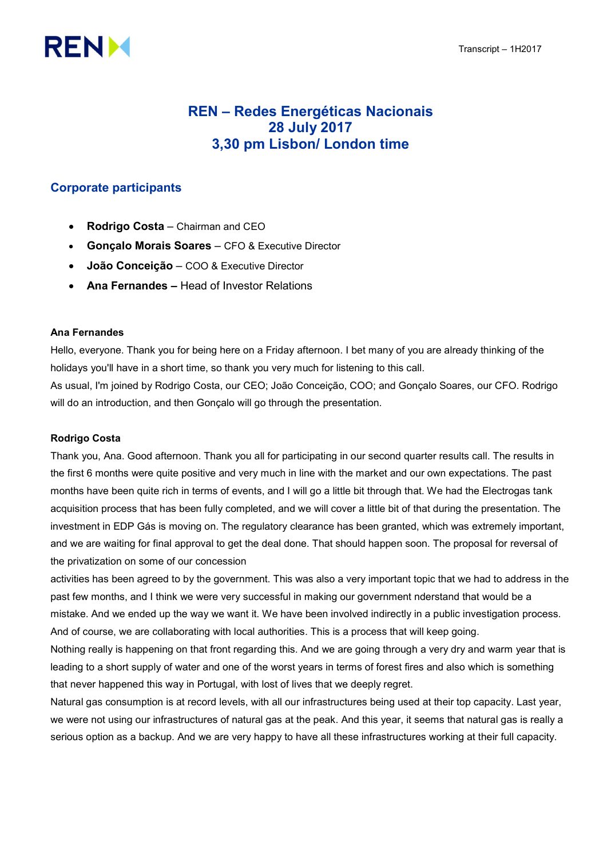

# REN – Redes Energéticas Nacionais 28 July 2017 3,30 pm Lisbon/ London time

# Corporate participants

- Rodrigo Costa Chairman and CEO
- Gonçalo Morais Soares CFO & Executive Director
- João Conceição COO & Executive Director
- Ana Fernandes Head of Investor Relations

# Ana Fernandes

Hello, everyone. Thank you for being here on a Friday afternoon. I bet many of you are already thinking of the holidays you'll have in a short time, so thank you very much for listening to this call.

As usual, I'm joined by Rodrigo Costa, our CEO; João Conceição, COO; and Gonçalo Soares, our CFO. Rodrigo will do an introduction, and then Gonçalo will go through the presentation.

# Rodrigo Costa

Thank you, Ana. Good afternoon. Thank you all for participating in our second quarter results call. The results in the first 6 months were quite positive and very much in line with the market and our own expectations. The past months have been quite rich in terms of events, and I will go a little bit through that. We had the Electrogas tank acquisition process that has been fully completed, and we will cover a little bit of that during the presentation. The investment in EDP Gás is moving on. The regulatory clearance has been granted, which was extremely important, and we are waiting for final approval to get the deal done. That should happen soon. The proposal for reversal of the privatization on some of our concession

activities has been agreed to by the government. This was also a very important topic that we had to address in the past few months, and I think we were very successful in making our government nderstand that would be a mistake. And we ended up the way we want it. We have been involved indirectly in a public investigation process. And of course, we are collaborating with local authorities. This is a process that will keep going.

Nothing really is happening on that front regarding this. And we are going through a very dry and warm year that is leading to a short supply of water and one of the worst years in terms of forest fires and also which is something that never happened this way in Portugal, with lost of lives that we deeply regret.

Natural gas consumption is at record levels, with all our infrastructures being used at their top capacity. Last year, we were not using our infrastructures of natural gas at the peak. And this year, it seems that natural gas is really a serious option as a backup. And we are very happy to have all these infrastructures working at their full capacity.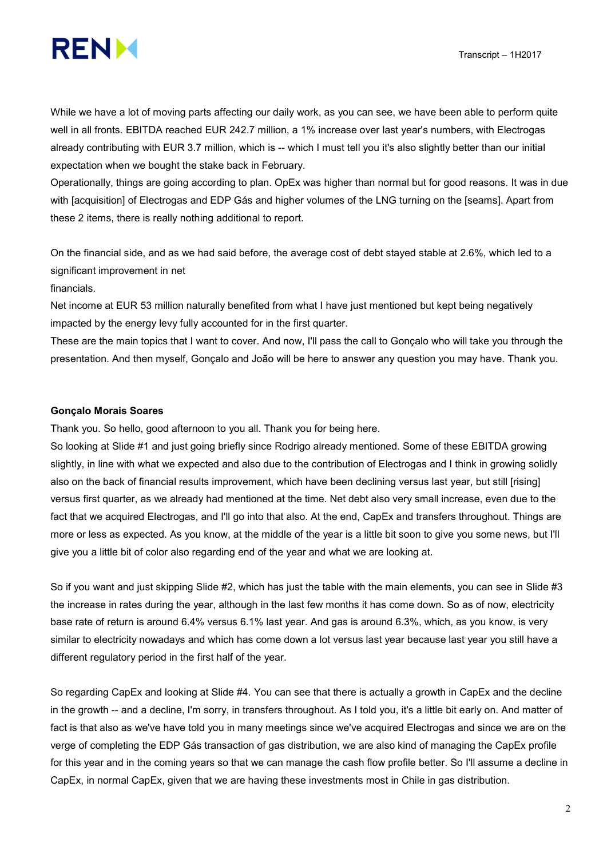

While we have a lot of moving parts affecting our daily work, as you can see, we have been able to perform quite well in all fronts. EBITDA reached EUR 242.7 million, a 1% increase over last year's numbers, with Electrogas already contributing with EUR 3.7 million, which is -- which I must tell you it's also slightly better than our initial expectation when we bought the stake back in February.

Operationally, things are going according to plan. OpEx was higher than normal but for good reasons. It was in due with [acquisition] of Electrogas and EDP Gás and higher volumes of the LNG turning on the [seams]. Apart from these 2 items, there is really nothing additional to report.

On the financial side, and as we had said before, the average cost of debt stayed stable at 2.6%, which led to a significant improvement in net

#### financials.

Net income at EUR 53 million naturally benefited from what I have just mentioned but kept being negatively impacted by the energy levy fully accounted for in the first quarter.

These are the main topics that I want to cover. And now, I'll pass the call to Gonçalo who will take you through the presentation. And then myself, Gonçalo and João will be here to answer any question you may have. Thank you.

#### Gonçalo Morais Soares

Thank you. So hello, good afternoon to you all. Thank you for being here.

So looking at Slide #1 and just going briefly since Rodrigo already mentioned. Some of these EBITDA growing slightly, in line with what we expected and also due to the contribution of Electrogas and I think in growing solidly also on the back of financial results improvement, which have been declining versus last year, but still [rising] versus first quarter, as we already had mentioned at the time. Net debt also very small increase, even due to the fact that we acquired Electrogas, and I'll go into that also. At the end, CapEx and transfers throughout. Things are more or less as expected. As you know, at the middle of the year is a little bit soon to give you some news, but I'll give you a little bit of color also regarding end of the year and what we are looking at.

So if you want and just skipping Slide #2, which has just the table with the main elements, you can see in Slide #3 the increase in rates during the year, although in the last few months it has come down. So as of now, electricity base rate of return is around 6.4% versus 6.1% last year. And gas is around 6.3%, which, as you know, is very similar to electricity nowadays and which has come down a lot versus last year because last year you still have a different regulatory period in the first half of the year.

So regarding CapEx and looking at Slide #4. You can see that there is actually a growth in CapEx and the decline in the growth -- and a decline, I'm sorry, in transfers throughout. As I told you, it's a little bit early on. And matter of fact is that also as we've have told you in many meetings since we've acquired Electrogas and since we are on the verge of completing the EDP Gás transaction of gas distribution, we are also kind of managing the CapEx profile for this year and in the coming years so that we can manage the cash flow profile better. So I'll assume a decline in CapEx, in normal CapEx, given that we are having these investments most in Chile in gas distribution.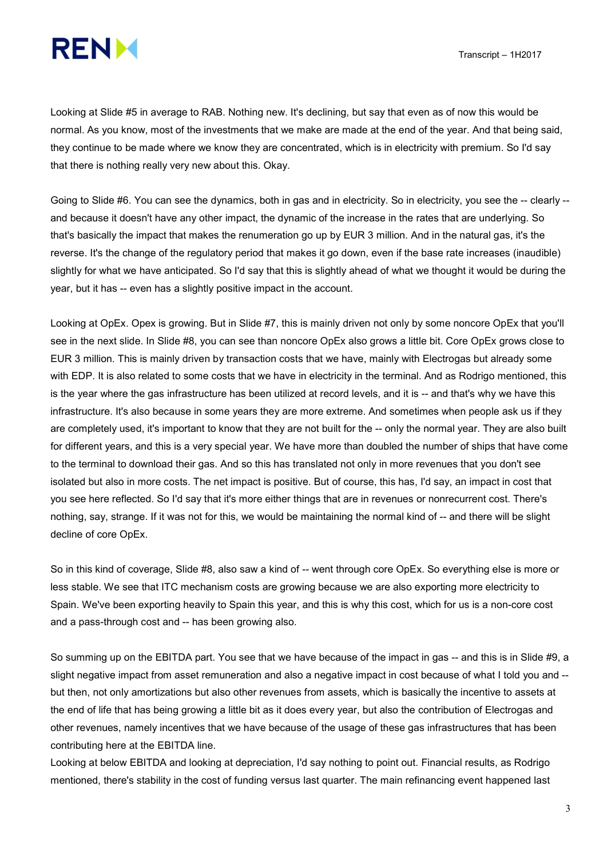

Looking at Slide #5 in average to RAB. Nothing new. It's declining, but say that even as of now this would be normal. As you know, most of the investments that we make are made at the end of the year. And that being said, they continue to be made where we know they are concentrated, which is in electricity with premium. So I'd say that there is nothing really very new about this. Okay.

Going to Slide #6. You can see the dynamics, both in gas and in electricity. So in electricity, you see the -- clearly -and because it doesn't have any other impact, the dynamic of the increase in the rates that are underlying. So that's basically the impact that makes the renumeration go up by EUR 3 million. And in the natural gas, it's the reverse. It's the change of the regulatory period that makes it go down, even if the base rate increases (inaudible) slightly for what we have anticipated. So I'd say that this is slightly ahead of what we thought it would be during the year, but it has -- even has a slightly positive impact in the account.

Looking at OpEx. Opex is growing. But in Slide #7, this is mainly driven not only by some noncore OpEx that you'll see in the next slide. In Slide #8, you can see than noncore OpEx also grows a little bit. Core OpEx grows close to EUR 3 million. This is mainly driven by transaction costs that we have, mainly with Electrogas but already some with EDP. It is also related to some costs that we have in electricity in the terminal. And as Rodrigo mentioned, this is the year where the gas infrastructure has been utilized at record levels, and it is -- and that's why we have this infrastructure. It's also because in some years they are more extreme. And sometimes when people ask us if they are completely used, it's important to know that they are not built for the -- only the normal year. They are also built for different years, and this is a very special year. We have more than doubled the number of ships that have come to the terminal to download their gas. And so this has translated not only in more revenues that you don't see isolated but also in more costs. The net impact is positive. But of course, this has, I'd say, an impact in cost that you see here reflected. So I'd say that it's more either things that are in revenues or nonrecurrent cost. There's nothing, say, strange. If it was not for this, we would be maintaining the normal kind of -- and there will be slight decline of core OpEx.

So in this kind of coverage, Slide #8, also saw a kind of -- went through core OpEx. So everything else is more or less stable. We see that ITC mechanism costs are growing because we are also exporting more electricity to Spain. We've been exporting heavily to Spain this year, and this is why this cost, which for us is a non-core cost and a pass-through cost and -- has been growing also.

So summing up on the EBITDA part. You see that we have because of the impact in gas -- and this is in Slide #9, a slight negative impact from asset remuneration and also a negative impact in cost because of what I told you and - but then, not only amortizations but also other revenues from assets, which is basically the incentive to assets at the end of life that has being growing a little bit as it does every year, but also the contribution of Electrogas and other revenues, namely incentives that we have because of the usage of these gas infrastructures that has been contributing here at the EBITDA line.

Looking at below EBITDA and looking at depreciation, I'd say nothing to point out. Financial results, as Rodrigo mentioned, there's stability in the cost of funding versus last quarter. The main refinancing event happened last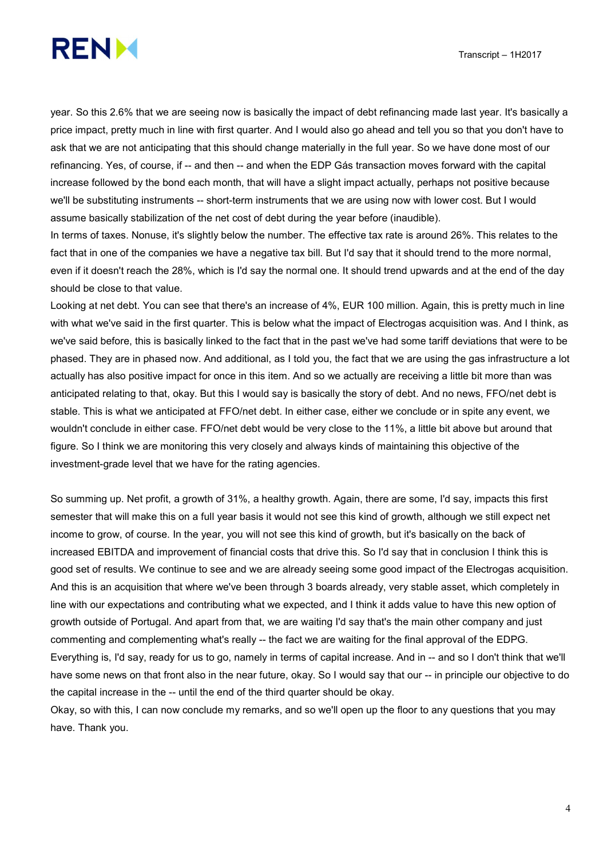

year. So this 2.6% that we are seeing now is basically the impact of debt refinancing made last year. It's basically a price impact, pretty much in line with first quarter. And I would also go ahead and tell you so that you don't have to ask that we are not anticipating that this should change materially in the full year. So we have done most of our refinancing. Yes, of course, if -- and then -- and when the EDP Gás transaction moves forward with the capital increase followed by the bond each month, that will have a slight impact actually, perhaps not positive because we'll be substituting instruments -- short-term instruments that we are using now with lower cost. But I would assume basically stabilization of the net cost of debt during the year before (inaudible).

In terms of taxes. Nonuse, it's slightly below the number. The effective tax rate is around 26%. This relates to the fact that in one of the companies we have a negative tax bill. But I'd say that it should trend to the more normal, even if it doesn't reach the 28%, which is I'd say the normal one. It should trend upwards and at the end of the day should be close to that value.

Looking at net debt. You can see that there's an increase of 4%, EUR 100 million. Again, this is pretty much in line with what we've said in the first quarter. This is below what the impact of Electrogas acquisition was. And I think, as we've said before, this is basically linked to the fact that in the past we've had some tariff deviations that were to be phased. They are in phased now. And additional, as I told you, the fact that we are using the gas infrastructure a lot actually has also positive impact for once in this item. And so we actually are receiving a little bit more than was anticipated relating to that, okay. But this I would say is basically the story of debt. And no news, FFO/net debt is stable. This is what we anticipated at FFO/net debt. In either case, either we conclude or in spite any event, we wouldn't conclude in either case. FFO/net debt would be very close to the 11%, a little bit above but around that figure. So I think we are monitoring this very closely and always kinds of maintaining this objective of the investment-grade level that we have for the rating agencies.

So summing up. Net profit, a growth of 31%, a healthy growth. Again, there are some, I'd say, impacts this first semester that will make this on a full year basis it would not see this kind of growth, although we still expect net income to grow, of course. In the year, you will not see this kind of growth, but it's basically on the back of increased EBITDA and improvement of financial costs that drive this. So I'd say that in conclusion I think this is good set of results. We continue to see and we are already seeing some good impact of the Electrogas acquisition. And this is an acquisition that where we've been through 3 boards already, very stable asset, which completely in line with our expectations and contributing what we expected, and I think it adds value to have this new option of growth outside of Portugal. And apart from that, we are waiting I'd say that's the main other company and just commenting and complementing what's really -- the fact we are waiting for the final approval of the EDPG. Everything is, I'd say, ready for us to go, namely in terms of capital increase. And in -- and so I don't think that we'll have some news on that front also in the near future, okay. So I would say that our -- in principle our objective to do the capital increase in the -- until the end of the third quarter should be okay.

Okay, so with this, I can now conclude my remarks, and so we'll open up the floor to any questions that you may have. Thank you.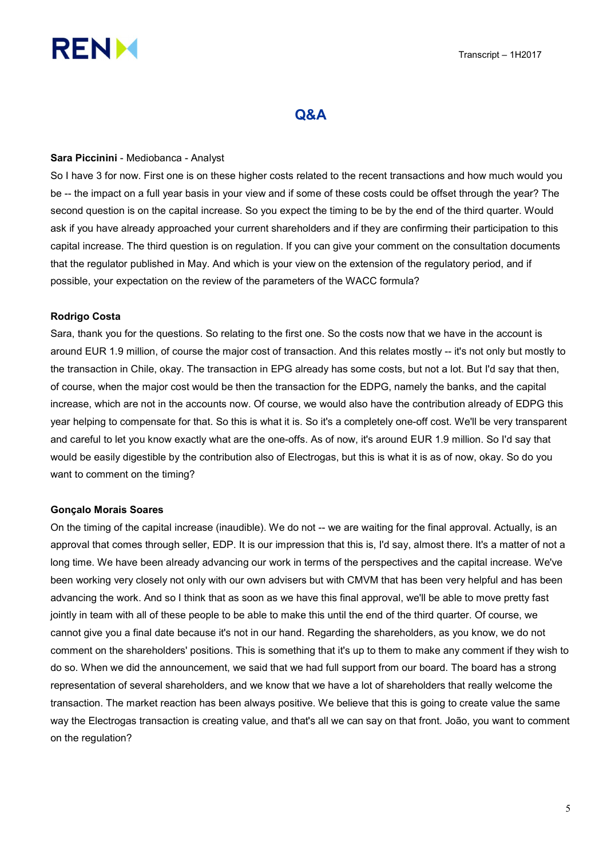

# Q&A

#### Sara Piccinini - Mediobanca - Analyst

So I have 3 for now. First one is on these higher costs related to the recent transactions and how much would you be -- the impact on a full year basis in your view and if some of these costs could be offset through the year? The second question is on the capital increase. So you expect the timing to be by the end of the third quarter. Would ask if you have already approached your current shareholders and if they are confirming their participation to this capital increase. The third question is on regulation. If you can give your comment on the consultation documents that the regulator published in May. And which is your view on the extension of the regulatory period, and if possible, your expectation on the review of the parameters of the WACC formula?

#### Rodrigo Costa

Sara, thank you for the questions. So relating to the first one. So the costs now that we have in the account is around EUR 1.9 million, of course the major cost of transaction. And this relates mostly -- it's not only but mostly to the transaction in Chile, okay. The transaction in EPG already has some costs, but not a lot. But I'd say that then, of course, when the major cost would be then the transaction for the EDPG, namely the banks, and the capital increase, which are not in the accounts now. Of course, we would also have the contribution already of EDPG this year helping to compensate for that. So this is what it is. So it's a completely one-off cost. We'll be very transparent and careful to let you know exactly what are the one-offs. As of now, it's around EUR 1.9 million. So I'd say that would be easily digestible by the contribution also of Electrogas, but this is what it is as of now, okay. So do you want to comment on the timing?

#### Gonçalo Morais Soares

On the timing of the capital increase (inaudible). We do not -- we are waiting for the final approval. Actually, is an approval that comes through seller, EDP. It is our impression that this is, I'd say, almost there. It's a matter of not a long time. We have been already advancing our work in terms of the perspectives and the capital increase. We've been working very closely not only with our own advisers but with CMVM that has been very helpful and has been advancing the work. And so I think that as soon as we have this final approval, we'll be able to move pretty fast jointly in team with all of these people to be able to make this until the end of the third quarter. Of course, we cannot give you a final date because it's not in our hand. Regarding the shareholders, as you know, we do not comment on the shareholders' positions. This is something that it's up to them to make any comment if they wish to do so. When we did the announcement, we said that we had full support from our board. The board has a strong representation of several shareholders, and we know that we have a lot of shareholders that really welcome the transaction. The market reaction has been always positive. We believe that this is going to create value the same way the Electrogas transaction is creating value, and that's all we can say on that front. João, you want to comment on the regulation?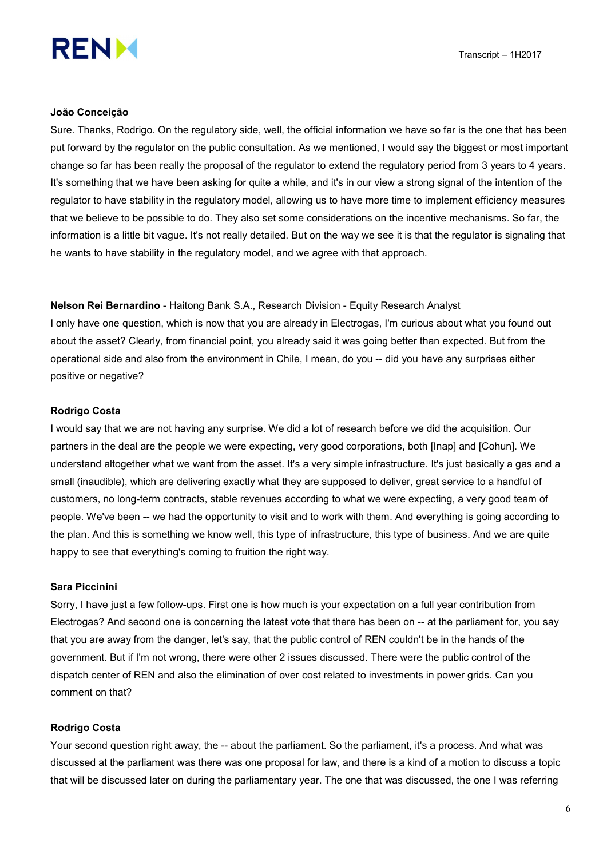

Transcript – 1H2017



#### João Conceição

Sure. Thanks, Rodrigo. On the regulatory side, well, the official information we have so far is the one that has been put forward by the regulator on the public consultation. As we mentioned, I would say the biggest or most important change so far has been really the proposal of the regulator to extend the regulatory period from 3 years to 4 years. It's something that we have been asking for quite a while, and it's in our view a strong signal of the intention of the regulator to have stability in the regulatory model, allowing us to have more time to implement efficiency measures that we believe to be possible to do. They also set some considerations on the incentive mechanisms. So far, the information is a little bit vague. It's not really detailed. But on the way we see it is that the regulator is signaling that he wants to have stability in the regulatory model, and we agree with that approach.

Nelson Rei Bernardino - Haitong Bank S.A., Research Division - Equity Research Analyst I only have one question, which is now that you are already in Electrogas, I'm curious about what you found out about the asset? Clearly, from financial point, you already said it was going better than expected. But from the operational side and also from the environment in Chile, I mean, do you -- did you have any surprises either positive or negative?

#### Rodrigo Costa

I would say that we are not having any surprise. We did a lot of research before we did the acquisition. Our partners in the deal are the people we were expecting, very good corporations, both [Inap] and [Cohun]. We understand altogether what we want from the asset. It's a very simple infrastructure. It's just basically a gas and a small (inaudible), which are delivering exactly what they are supposed to deliver, great service to a handful of customers, no long-term contracts, stable revenues according to what we were expecting, a very good team of people. We've been -- we had the opportunity to visit and to work with them. And everything is going according to the plan. And this is something we know well, this type of infrastructure, this type of business. And we are quite happy to see that everything's coming to fruition the right way.

## Sara Piccinini

Sorry, I have just a few follow-ups. First one is how much is your expectation on a full year contribution from Electrogas? And second one is concerning the latest vote that there has been on -- at the parliament for, you say that you are away from the danger, let's say, that the public control of REN couldn't be in the hands of the government. But if I'm not wrong, there were other 2 issues discussed. There were the public control of the dispatch center of REN and also the elimination of over cost related to investments in power grids. Can you comment on that?

## Rodrigo Costa

Your second question right away, the -- about the parliament. So the parliament, it's a process. And what was discussed at the parliament was there was one proposal for law, and there is a kind of a motion to discuss a topic that will be discussed later on during the parliamentary year. The one that was discussed, the one I was referring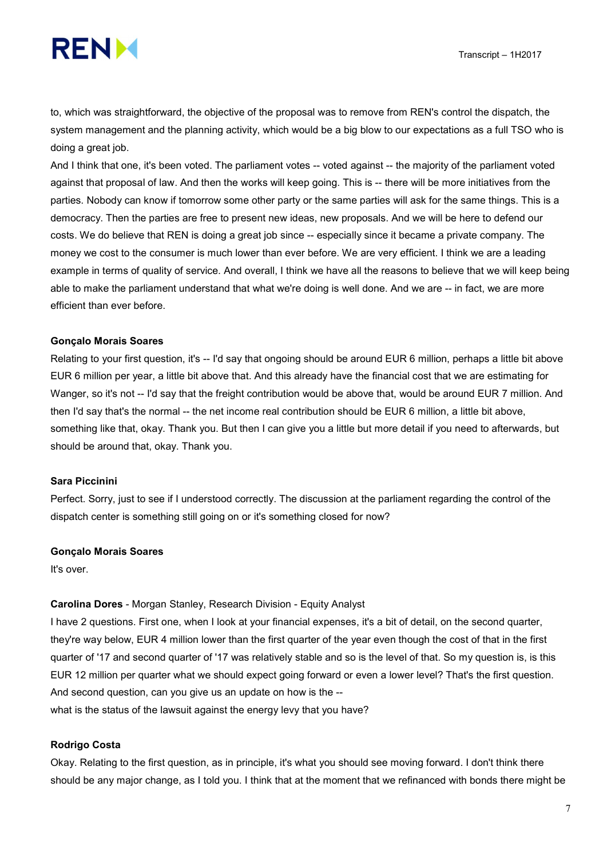

to, which was straightforward, the objective of the proposal was to remove from REN's control the dispatch, the system management and the planning activity, which would be a big blow to our expectations as a full TSO who is doing a great job.

And I think that one, it's been voted. The parliament votes -- voted against -- the majority of the parliament voted against that proposal of law. And then the works will keep going. This is -- there will be more initiatives from the parties. Nobody can know if tomorrow some other party or the same parties will ask for the same things. This is a democracy. Then the parties are free to present new ideas, new proposals. And we will be here to defend our costs. We do believe that REN is doing a great job since -- especially since it became a private company. The money we cost to the consumer is much lower than ever before. We are very efficient. I think we are a leading example in terms of quality of service. And overall, I think we have all the reasons to believe that we will keep being able to make the parliament understand that what we're doing is well done. And we are -- in fact, we are more efficient than ever before.

## Gonçalo Morais Soares

Relating to your first question, it's -- I'd say that ongoing should be around EUR 6 million, perhaps a little bit above EUR 6 million per year, a little bit above that. And this already have the financial cost that we are estimating for Wanger, so it's not -- I'd say that the freight contribution would be above that, would be around EUR 7 million. And then I'd say that's the normal -- the net income real contribution should be EUR 6 million, a little bit above, something like that, okay. Thank you. But then I can give you a little but more detail if you need to afterwards, but should be around that, okay. Thank you.

#### Sara Piccinini

Perfect. Sorry, just to see if I understood correctly. The discussion at the parliament regarding the control of the dispatch center is something still going on or it's something closed for now?

#### Gonçalo Morais Soares

It's over.

#### Carolina Dores - Morgan Stanley, Research Division - Equity Analyst

I have 2 questions. First one, when I look at your financial expenses, it's a bit of detail, on the second quarter, they're way below, EUR 4 million lower than the first quarter of the year even though the cost of that in the first quarter of '17 and second quarter of '17 was relatively stable and so is the level of that. So my question is, is this EUR 12 million per quarter what we should expect going forward or even a lower level? That's the first question. And second question, can you give us an update on how is the --

what is the status of the lawsuit against the energy levy that you have?

#### Rodrigo Costa

Okay. Relating to the first question, as in principle, it's what you should see moving forward. I don't think there should be any major change, as I told you. I think that at the moment that we refinanced with bonds there might be